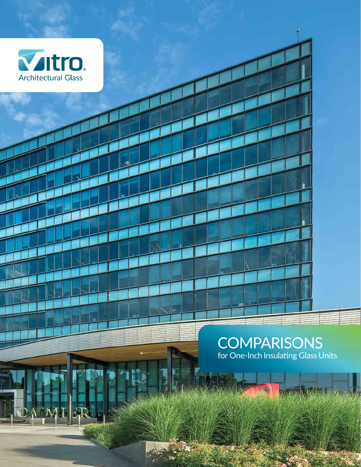

**In** 

A TM

**COMPARISONS** for One-Inch Insulating Glass Units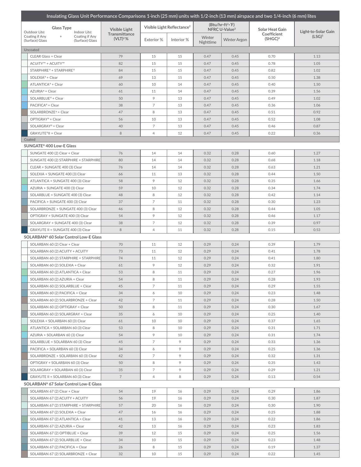|                                                                                                                                     |                                        |                                                        |                                        | Insulating Glass Unit Performance Comparisons 1-inch (25 mm) units with 1/2-inch (13 mm) airspace and two 1/4-inch (6 mm) lites |                                             |                     |                                    |                                           |  |
|-------------------------------------------------------------------------------------------------------------------------------------|----------------------------------------|--------------------------------------------------------|----------------------------------------|---------------------------------------------------------------------------------------------------------------------------------|---------------------------------------------|---------------------|------------------------------------|-------------------------------------------|--|
| <b>Glass Type</b><br>Outdoor Lite:<br>Indoor Lite:<br>Coating if Any<br>Coating if Any<br>$+$<br>(Surface) Glass<br>(Surface) Glass |                                        | <b>Visible Light</b><br>Transmittance<br>$(VLT)^{2}$ % | Visible Light Reflectance <sup>2</sup> |                                                                                                                                 | (Btu/hr·ft²·F)<br>NFRC U-Value <sup>3</sup> |                     | <b>Solar Heat Gain</b>             |                                           |  |
|                                                                                                                                     |                                        |                                                        | Exterior %                             | Interior %                                                                                                                      | Winter<br>Nighttime                         | <b>Winter Argon</b> | Coefficient<br>(SHGC) <sup>4</sup> | Light-to-Solar Gain<br>(LSG) <sup>5</sup> |  |
| Uncoated                                                                                                                            |                                        |                                                        |                                        |                                                                                                                                 |                                             |                     |                                    |                                           |  |
| <b>CLEAR Glass + Clear</b>                                                                                                          |                                        | 79                                                     | 15                                     | 15                                                                                                                              | 0.47                                        | 0.45                | 0.70                               | 1.13                                      |  |
| ACUITY™ + ACUITY™                                                                                                                   |                                        | 82                                                     | 15                                     | 15                                                                                                                              | 0.47                                        | 0.45                | 0.78                               | 1.05                                      |  |
| STARPHIRE® + STARPHIRE®                                                                                                             |                                        | 84                                                     | 15                                     | 15                                                                                                                              | 0.47                                        | 0.45                | 0.82                               | 1.02                                      |  |
| SOLEXIA® + Clear                                                                                                                    |                                        | 69                                                     | 13                                     | 15                                                                                                                              | 0.47                                        | 0.45                | 0.50                               | 1.38                                      |  |
| ATLANTICA® + Clear                                                                                                                  |                                        | 60                                                     | 10                                     | 14                                                                                                                              | 0.47                                        | 0.45                | 0.40                               | 1.50                                      |  |
| AZURIA® + Clear                                                                                                                     |                                        | 61                                                     | 11                                     | 14                                                                                                                              | 0.47                                        | 0.45                | 0.39                               | 1.56                                      |  |
| SOLARBLUE® + Clear                                                                                                                  |                                        | 50                                                     | 9                                      | 13                                                                                                                              | 0.47                                        | 0.45                | 0.49                               | 1.02                                      |  |
| PACIFICA <sup>®</sup> + Clear                                                                                                       |                                        | 38                                                     | $\overline{7}$                         | 13                                                                                                                              | 0.47                                        | 0.45                | 0.36                               | 1.06                                      |  |
| SOLARBRONZE <sup>®</sup> + Clear                                                                                                    |                                        | 47                                                     | 8                                      | 13                                                                                                                              | 0.47                                        | 0.45                | 0.51                               | 0.92                                      |  |
| OPTIGRAY® + Clear                                                                                                                   |                                        | 56                                                     | 10                                     | 13                                                                                                                              | 0.47                                        | 0.45                | 0.52                               | 1.08                                      |  |
| SOLARGRAY® + Clear                                                                                                                  |                                        | 40                                                     | $\overline{7}$                         | 13                                                                                                                              | 0.47                                        | 0.45                | 0.46                               | 0.87                                      |  |
| GRAYLITE®II + Clear                                                                                                                 |                                        | $\,8\,$                                                | $\overline{4}$                         | 12                                                                                                                              | 0.47                                        | 0.45                | 0.22                               | 0.36                                      |  |
| Coated                                                                                                                              |                                        |                                                        |                                        |                                                                                                                                 |                                             |                     |                                    |                                           |  |
| SUNGATE® 400 Low-E Glass                                                                                                            |                                        |                                                        |                                        |                                                                                                                                 |                                             |                     |                                    |                                           |  |
|                                                                                                                                     | SUNGATE 400 (2) Clear + Clear          | 76                                                     | 14                                     | 14                                                                                                                              | 0.32                                        | 0.28                | 0.60                               | 1.27                                      |  |
|                                                                                                                                     | SUNGATE 400 (2) STARPHIRE + STARPHIRE  | 80                                                     | 14                                     | 14                                                                                                                              | 0.32                                        | 0.28                | 0.68                               | 1.18                                      |  |
|                                                                                                                                     | CLEAR + SUNGATE 400 (3) Clear          | 76                                                     | 14                                     | 14                                                                                                                              | 0.32                                        | 0.28                | 0.63                               | 1.21                                      |  |
|                                                                                                                                     | SOLEXIA + SUNGATE 400 (3) Clear        | 66                                                     | 11                                     | 13                                                                                                                              | 0.32                                        | 0.28                | 0.44                               | 1.50                                      |  |
|                                                                                                                                     | ATLANTICA + SUNGATE 400 (3) Clear      | 58                                                     | 9                                      | 12                                                                                                                              | 0.32                                        | 0.28                | 0.35                               | 1.66                                      |  |
|                                                                                                                                     | AZURIA + SUNGATE 400 (3) Clear         | 59                                                     | 10                                     | 12                                                                                                                              | 0.32                                        | 0.28                | 0.34                               | 1.74                                      |  |
|                                                                                                                                     | SOLARBLUE + SUNGATE 400 (3) Clear      | 48                                                     | 8                                      | 12                                                                                                                              | 0.32                                        | 0.28                | 0.42                               | 1.14                                      |  |
|                                                                                                                                     | PACIFICA + SUNGATE 400 (3) Clear       | 37                                                     | $\overline{7}$                         | 11                                                                                                                              | 0.32                                        | 0.28                | 0.30                               | 1.23                                      |  |
|                                                                                                                                     | SOLARBRONZE + SUNGATE 400 (3) Clear    | 46                                                     | 8                                      | 12                                                                                                                              | 0.32                                        | 0.28                | 0.44                               | 1.05                                      |  |
|                                                                                                                                     | OPTIGRAY + SUNGATE 400 (3) Clear       | 54                                                     | 9                                      | 12                                                                                                                              | 0.32                                        | 0.28                | 0.46                               | 1.17                                      |  |
|                                                                                                                                     | SOLARGRAY + SUNGATE 400 (3) Clear      | 38                                                     | $\overline{7}$                         | 12                                                                                                                              | 0.32                                        | 0.28                | 0.39                               | 0.97                                      |  |
|                                                                                                                                     | GRAYLITE II + SUNGATE 400 (3) Clear    | 8                                                      | $\overline{4}$                         | 11                                                                                                                              | 0.32                                        | 0.28                | 0.15                               | 0.53                                      |  |
| SOLARBAN® 60 Solar Control Low-E Glass                                                                                              |                                        |                                                        |                                        |                                                                                                                                 |                                             |                     |                                    |                                           |  |
|                                                                                                                                     | SOLARBAN 60 (2) Clear + Clear          | 70                                                     | 11                                     | 12                                                                                                                              | 0.29                                        | 0.24                | 0.39                               | 1.79                                      |  |
|                                                                                                                                     | SOLARBAN 60 (2) ACUITY + ACUITY        | 73                                                     | 11                                     | 12                                                                                                                              | 0.29                                        | 0.24                | 0.41                               | 1.78                                      |  |
|                                                                                                                                     | SOLARBAN 60 (2) STARPHIRE + STARPHIRE  | 74                                                     | 11                                     | 12                                                                                                                              | 0.29                                        | 0.24                | 0.41                               | 1.80                                      |  |
|                                                                                                                                     | SOLARBAN 60 (2) SOLEXIA + Clear        | 61                                                     | 9                                      | 12                                                                                                                              | 0.29                                        | 0.24                | 0.32                               | 1.91                                      |  |
|                                                                                                                                     | SOLARBAN 60 (2) ATLANTICA + Clear      | 53                                                     | 8                                      | 11                                                                                                                              | 0.29                                        | 0.24                | 0.27                               | 1.96                                      |  |
|                                                                                                                                     | SOLARBAN 60 (2) AZURIA + Clear         | 54                                                     | 8                                      | 11                                                                                                                              | 0.29                                        | 0.24                | 0.28                               | 1.93                                      |  |
|                                                                                                                                     | SOLARBAN 60 (2) SOLARBLUE + Clear      | 45                                                     | 7                                      | 11                                                                                                                              | 0.29                                        | 0.24                | 0.29                               | 1.55                                      |  |
|                                                                                                                                     | SOLARBAN 60 (2) PACIFICA + Clear       | 34                                                     | 6                                      | 10                                                                                                                              | 0.29                                        | 0.24                | 0.23                               | 1.48                                      |  |
|                                                                                                                                     | SOLARBAN 60 (2) SOLARBRONZE + Clear    | 42                                                     | $\overline{7}$                         | 11                                                                                                                              | 0.29                                        | 0.24                | 0.28                               | 1.50                                      |  |
|                                                                                                                                     | SOLARBAN 60 (2) OPTIGRAY + Clear       | 50                                                     | 8                                      | 11                                                                                                                              | 0.29                                        | 0.24                | 0.30                               | 1.67                                      |  |
|                                                                                                                                     | SOLARBAN 60 (2) SOLARGRAY + Clear      | 35                                                     | 6                                      | 10                                                                                                                              | 0.29                                        | 0.24                | 0.25                               | 1.40                                      |  |
|                                                                                                                                     | SOLEXIA + SOLARBAN 60 (3) Clear        | 61                                                     | 10                                     | 10                                                                                                                              | 0.29                                        | 0.24                | 0.37                               | 1.65                                      |  |
|                                                                                                                                     | ATLANTICA + SOLARBAN 60 (3) Clear      | 53                                                     | 8                                      | 10                                                                                                                              | 0.29                                        | 0.24                | 0.31                               | 1.71                                      |  |
|                                                                                                                                     | AZURIA + SOLARBAN 60 (3) Clear         | 54                                                     | 9                                      | 10                                                                                                                              | 0.29                                        | 0.24                | 0.31                               | 1.74                                      |  |
|                                                                                                                                     | SOLARBLUE + SOLARBAN 60 (3) Clear      | 45                                                     | 7                                      | 9                                                                                                                               | 0.29                                        | 0.24                | 0.33                               | 1.36                                      |  |
|                                                                                                                                     | PACIFICA + SOLARBAN 60 (3) Clear       | 34                                                     | 6                                      | 9                                                                                                                               | 0.29                                        | 0.24                | 0.25                               | 1.36                                      |  |
|                                                                                                                                     | SOLARBRONZE + SOLARBAN 60 (3) Clear    | 42                                                     | 7                                      | 9                                                                                                                               | 0.29                                        | 0.24                | 0.32                               | 1.31                                      |  |
|                                                                                                                                     | OPTIGRAY + SOLARBAN 60 (3) Clear       | 50                                                     | 8                                      | 9                                                                                                                               | 0.29                                        | 0.24                | 0.35                               | 1.43                                      |  |
|                                                                                                                                     | SOLARGRAY + SOLARBAN 60 (3) Clear      | 35                                                     | 7                                      | 9                                                                                                                               | 0.29                                        | 0.24                | 0.29                               | 1.21                                      |  |
|                                                                                                                                     | GRAYLITE II + SOLARBAN 60 (3) Clear    | $\overline{7}$                                         | $\overline{4}$                         | 8                                                                                                                               | 0.29                                        | 0.24                | 0.13                               | 0.54                                      |  |
|                                                                                                                                     | SOLARBAN® 67 Solar Control Low-E Glass |                                                        |                                        |                                                                                                                                 |                                             |                     |                                    |                                           |  |
|                                                                                                                                     | SOLARBAN 67 (2) Clear + Clear          | 54                                                     | 19                                     | 16                                                                                                                              | 0.29                                        | 0.24                | 0.29                               | 1.86                                      |  |
|                                                                                                                                     | SOLARBAN 67 (2) ACUITY + ACUITY        | 56                                                     | 19                                     | 16                                                                                                                              | 0.29                                        | 0.24                | 0.30                               | 1.87                                      |  |
|                                                                                                                                     | SOLARBAN 67 (2) STARPHIRE + STARPHIRE  | 57                                                     | 20                                     | 16                                                                                                                              | 0.29                                        | 0.24                | 0.30                               | 1.90                                      |  |
|                                                                                                                                     | SOLARBAN 67 (2) SOLEXIA + Clear        | 47                                                     | 16                                     | 16                                                                                                                              | 0.29                                        | 0.24                | 0.25                               | 1.88                                      |  |
|                                                                                                                                     | SOLARBAN 67 (2) ATLANTICA + Clear      | 41                                                     | 13                                     | 16                                                                                                                              | 0.29                                        | 0.24                | 0.22                               | 1.86                                      |  |
|                                                                                                                                     | SOLARBAN 67 (2) AZURIA + Clear         | 42                                                     | 13                                     | 16                                                                                                                              | 0.29                                        | 0.24                | 0.23                               | 1.83                                      |  |
|                                                                                                                                     | SOLARBAN 67 (2) OPTIBLUE + Clear       | 39                                                     | 12                                     | 15                                                                                                                              | 0.29                                        | 0.24                | 0.25                               | 1.56                                      |  |
|                                                                                                                                     | SOLARBAN 67 (2) SOLARBLUE + Clear      | 34                                                     | 10                                     | 15                                                                                                                              | 0.29                                        | 0.24                | 0.23                               | 1.48                                      |  |
|                                                                                                                                     | SOLARBAN 67 (2) PACIFICA + Clear       | 26                                                     | 8                                      | 15                                                                                                                              | 0.29                                        | 0.24                | 0.19                               | 1.37                                      |  |
|                                                                                                                                     | SOLARBAN 67 (2) SOLARBRONZE + Clear    | 32                                                     | 10                                     | 15                                                                                                                              | 0.29                                        | 0.24                | 0.22                               | 1.45                                      |  |
|                                                                                                                                     |                                        |                                                        |                                        |                                                                                                                                 |                                             |                     |                                    |                                           |  |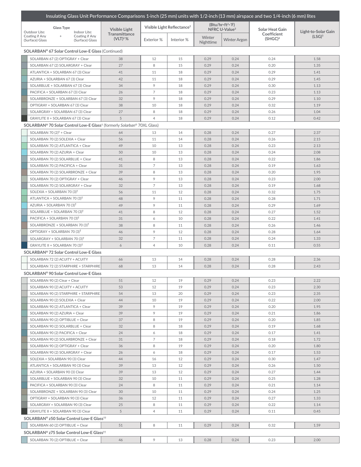| Insulating Glass Unit Performance Comparisons 1-inch (25 mm) units with 1/2-inch (13 mm) airspace and two 1/4-inch (6 mm) lites |                                                        |                                        |            |                                             |                     |                                    |                     |  |  |
|---------------------------------------------------------------------------------------------------------------------------------|--------------------------------------------------------|----------------------------------------|------------|---------------------------------------------|---------------------|------------------------------------|---------------------|--|--|
| <b>Glass Type</b><br>Outdoor Lite:<br>Indoor Lite:                                                                              | <b>Visible Light</b><br>Transmittance<br>$(VLT)^{2}$ % | Visible Light Reflectance <sup>2</sup> |            | (Btu/hr·ft²·F)<br>NFRC U-Value <sup>3</sup> |                     | <b>Solar Heat Gain</b>             | Light-to-Solar Gain |  |  |
| Coating if Any<br>Coating if Any<br>$+$<br>(Surface) Glass<br>(Surface) Glass                                                   |                                                        | Exterior %                             | Interior % | Winter<br><b>Nighttime</b>                  | <b>Winter Argon</b> | Coefficient<br>(SHGC) <sup>4</sup> | (LSG) <sup>5</sup>  |  |  |
| SOLARBAN® 67 Solar Control Low-E Glass (Continued)                                                                              |                                                        |                                        |            |                                             |                     |                                    |                     |  |  |
| SOLARBAN 67 (2) OPTIGRAY + Clear                                                                                                | 38                                                     | 12                                     | 15         | 0.29                                        | 0.24                | 0.24                               | 1.58                |  |  |
| SOLARBAN 67 (2) SOLARGRAY + Clear                                                                                               | 27                                                     | 8                                      | 15         | 0.29                                        | 0.24                | 0.20                               | 1.35                |  |  |
| ATLANTICA + SOLARBAN 67 (3) Clear                                                                                               | 41                                                     | 11                                     | 18         | 0.29                                        | 0.24                | 0.29                               | 1.41                |  |  |
| AZURIA + SOLARBAN 67 (3) Clear                                                                                                  | 42                                                     | 11                                     | 18         | 0.29                                        | 0.24                | 0.29                               | 1.45                |  |  |
| SOLARBLUE + SOLARBAN 67 (3) Clear                                                                                               | 34                                                     | 9                                      | 18         | 0.29                                        | 0.24                | 0.30                               | 1.13                |  |  |
| PACIFICA + SOLARBAN 67 (3) Clear                                                                                                | 26                                                     | $\overline{7}$                         | 18         | 0.29                                        | 0.24                | 0.23                               | 1.13                |  |  |
| SOLARBRONZE + SOLARBAN 67 (3) Clear                                                                                             | 32                                                     | 9                                      | 18         | 0.29                                        | 0.24                | 0.29                               | 1.10                |  |  |
| OPTIGRAY + SOLARBAN 67 (3) Clear                                                                                                | 38                                                     | 10                                     | 18         | 0.29                                        | 0.24                | 0.32                               | 1.19                |  |  |
| SOLARGRAY + SOLARBAN 67 (3) Clear                                                                                               | 27                                                     | 8                                      | 18         | 0.29                                        | 0.24                | 0.26                               | 1.04                |  |  |
| GRAYLITE II + SOLARBAN 67 (3) Clear                                                                                             | 5                                                      | $\overline{4}$                         | 18         | 0.29                                        | 0.24                | 0.12                               | 0.42                |  |  |
| SOLARBAN® 70 Solar Control Low-E Glass <sup>†</sup> (formerly Solarban® 70XL Glass)                                             |                                                        |                                        |            |                                             |                     |                                    |                     |  |  |
| SOLARBAN 70 $(2)^{\dagger}$ + Clear                                                                                             | 64                                                     | 13                                     | 14         | 0.28                                        | 0.24                | 0.27                               | 2.37                |  |  |
| SOLARBAN 70 (2) SOLEXIA + Clear                                                                                                 | 56                                                     | 11                                     | 14         | 0.28                                        | 0.24                | 0.26                               | 2.15                |  |  |
| SOLARBAN 70 (2) ATLANTICA + Clear                                                                                               | 49                                                     | 10                                     | 13         | 0.28                                        | 0.24                | 0.23                               | 2.13                |  |  |
| SOLARBAN 70 (2) AZURIA + Clear                                                                                                  | 50                                                     | 10                                     | 13         | 0.28                                        | 0.24                | 0.24                               | 2.08                |  |  |
| SOLARBAN 70 (2) SOLARBLUE + Clear                                                                                               | 41                                                     | 8                                      | 13         | 0.28                                        | 0.24                | 0.22                               | 1.86                |  |  |
| SOLARBAN 70 (2) PACIFICA + Clear                                                                                                | 31                                                     | $\overline{7}$                         | 13         | 0.28                                        | 0.24                | 0.19                               | 1.63                |  |  |
| SOLARBAN 70 (2) SOLARBRONZE + Clear                                                                                             | 39                                                     | 8                                      | 13         | 0.28                                        | 0.24                | 0.20                               | 1.95                |  |  |
| SOLARBAN 70 (2) OPTIGRAY + Clear                                                                                                | 46                                                     | 9                                      | 13         | 0.28                                        | 0.24                | 0.23                               | 2.00                |  |  |
| SOLARBAN 70 (2) SOLARGRAY + Clear                                                                                               | 32                                                     | $\overline{7}$                         | 13         | 0.28                                        | 0.24                | 0.19                               | 1.68                |  |  |
| SOLEXIA + SOLARBAN 70 $(3)$ <sup>†</sup>                                                                                        | 56                                                     | 11                                     | 12         | 0.28                                        | 0.24                | 0.32                               | 1.75                |  |  |
| ATLANTICA + SOLARBAN 70 (3) <sup>†</sup>                                                                                        | 48                                                     | 9                                      | 11         | 0.28                                        | 0.24                | 0.28                               | 1.71                |  |  |
| AZURIA + SOLARBAN 70 (3) <sup>†</sup>                                                                                           | 49                                                     | 9                                      | 11         | 0.28                                        | 0.24                | 0.29                               | 1.69                |  |  |
| SOLARBLUE + SOLARBAN 70 (3) <sup>T</sup>                                                                                        | 41                                                     | 8                                      | 12         | 0.28                                        | 0.24                | 0.27                               | 1.52                |  |  |
| PACIFICA + SOLARBAN 70 (3) <sup>†</sup>                                                                                         | 31                                                     | 6                                      | 10         | 0.28                                        | 0.24                | 0.22                               | 1.41                |  |  |
| SOLARBRONZE + SOLARBAN 70 $(3)^{\dagger}$                                                                                       | 38                                                     | 8                                      | 11         | 0.28                                        | 0.24                | 0.26                               | 1.46                |  |  |
| OPTIGRAY + SOLARBAN 70 (3) <sup>†</sup>                                                                                         | 46                                                     | 9                                      | 12         | 0.28                                        | 0.24                | 0.28                               | 1.64                |  |  |
| SOLARGRAY + SOLARBAN 70 $(3)$ <sup>†</sup>                                                                                      | 32<br>6                                                | 7<br>$\overline{4}$                    | 11<br>10   | 0.28<br>0.28                                | 0.24                | 0.24<br>0.11                       | 1.33                |  |  |
| GRAYLITE II + SOLARBAN 70 (3) <sup>†</sup>                                                                                      |                                                        |                                        |            |                                             | 0.24                |                                    | 0.55                |  |  |
| SOLARBAN® 72 Solar Control Low-E Glass                                                                                          |                                                        |                                        |            |                                             |                     |                                    |                     |  |  |
| SOLARBAN 72 (2) ACUITY + ACUITY                                                                                                 | 66                                                     | 13                                     | 14         | 0.28                                        | 0.24                | 0.28                               | 2.36                |  |  |
| SOLARBAN 72 (2) STARPHIRE + STARPHIRE                                                                                           | 68                                                     | 13                                     | 14         | 0.28                                        | 0.24                | 0.28                               | 2.43                |  |  |
| SOLARBAN® 90 Solar Control Low-E Glass                                                                                          |                                                        |                                        |            |                                             |                     |                                    |                     |  |  |
| SOLARBAN 90 (2) Clear + Clear                                                                                                   | 51                                                     | 12                                     | 19         | 0.29                                        | 0.24                | 0.23                               | 2.22                |  |  |
| SOLARBAN 90 (2) ACUITY + ACUITY                                                                                                 | 53                                                     | 12                                     | 19         | 0.29                                        | 0.24                | 0.23                               | 2.30                |  |  |
| SOLARBAN 90 (2) STARPHIRE + STARPHIRE<br>SOLARBAN 90 (2) SOLEXIA + Clear                                                        | 54<br>44                                               | 13<br>10                               | 20<br>19   | 0.29<br>0.29                                | 0.24<br>0.24        | 0.23<br>0.22                       | 2.35<br>2.00        |  |  |
| SOLARBAN 90 (2) ATLANTICA + Clear                                                                                               | 39                                                     | 9                                      | 19         | 0.29                                        | 0.24                | 0.20                               | 1.95                |  |  |
| SOLARBAN 90 (2) AZURIA + Clear                                                                                                  | 39                                                     | 9                                      | 19         | 0.29                                        | 0.24                | 0.21                               | 1.86                |  |  |
| SOLARBAN 90 (2) OPTIBLUE + Clear                                                                                                | 37                                                     | 8                                      | 19         | 0.29                                        | 0.24                | 0.20                               | 1.85                |  |  |
| SOLARBAN 90 (2) SOLARBLUE + Clear                                                                                               | 32                                                     | 8                                      | 18         | 0.29                                        | 0.24                | 0.19                               | 1.68                |  |  |
| SOLARBAN 90 (2) PACIFICA + Clear                                                                                                | 24                                                     | 6                                      | 18         | 0.29                                        | 0.24                | 0.17                               | 1.41                |  |  |
| SOLARBAN 90 (2) SOLARBRONZE + Clear                                                                                             | 31                                                     | 7                                      | 18         | 0.29                                        | 0.24                | 0.18                               | 1.72                |  |  |
| SOLARBAN 90 (2) OPTIGRAY + Clear                                                                                                | 36                                                     | 8                                      | 19         | 0.29                                        | 0.24                | 0.20                               | 1.80                |  |  |
| SOLARBAN 90 (2) SOLARGRAY + Clear                                                                                               | 26                                                     | 6                                      | 18         | 0.29                                        | 0.24                | 0.17                               | 1.53                |  |  |
| SOLEXIA + SOLARBAN 90 (3) Clear                                                                                                 | 44                                                     | 16                                     | 12         | 0.29                                        | 0.24                | 0.30                               | 1.47                |  |  |
| ATLANTICA + SOLARBAN 90 (3) Clear                                                                                               | 39                                                     | 13                                     | 12         | 0.29                                        | 0.24                | 0.26                               | 1.50                |  |  |
| AZURIA + SOLARBAN 90 (3) Clear                                                                                                  | 39                                                     | 13                                     | 12         | 0.29                                        | 0.24                | 0.27                               | 1.44                |  |  |
| SOLARBLUE + SOLARBAN 90 (3) Clear                                                                                               | 32                                                     | 10                                     | 11         | 0.29                                        | 0.24                | 0.25                               | 1.28                |  |  |
| PACIFICA + SOLARBAN 90 (3) Clear                                                                                                | 24                                                     | 8                                      | 11         | 0.29                                        | 0.24                | 0.21                               | 1.14                |  |  |
| SOLARBRONZE + SOLARBAN 90 (3) Clear                                                                                             | 30                                                     | 10                                     | 11         | 0.29                                        | 0.24                | 0.24                               | 1.25                |  |  |
| OPTIGRAY + SOLARBAN 90 (3) Clear                                                                                                | 36                                                     | 12                                     | 11         | 0.29                                        | 0.24                | 0.27                               | 1.33                |  |  |
| SOLARGRAY + SOLARBAN 90 (3) Clear                                                                                               | 25                                                     | 8                                      | 11         | 0.29                                        | 0.24                | 0.22                               | 1.14                |  |  |
| GRAYLITE II + SOLARBAN 90 (3) Clear                                                                                             | 5                                                      | $\overline{4}$                         | 11         | 0.29                                        | 0.24                | 0.11                               | 0.45                |  |  |
| SOLARBAN® z50 Solar Control Low-E Glass <sup>11</sup>                                                                           |                                                        |                                        |            |                                             |                     |                                    |                     |  |  |
| SOLARBAN 60 (2) OPTIBLUE + Clear<br>51<br>8<br>11<br>0.29<br>0.24<br>0.32<br>1.59                                               |                                                        |                                        |            |                                             |                     |                                    |                     |  |  |
| SOLARBAN® z75 Solar Control Low-E Glass <sup>††</sup>                                                                           |                                                        |                                        |            |                                             |                     |                                    |                     |  |  |
| SOLARBAN 70 (2) OPTIBLUE + Clear                                                                                                | 46                                                     | 9                                      | 13         | 0.28                                        | 0.24                | 0.23                               | 2.00                |  |  |